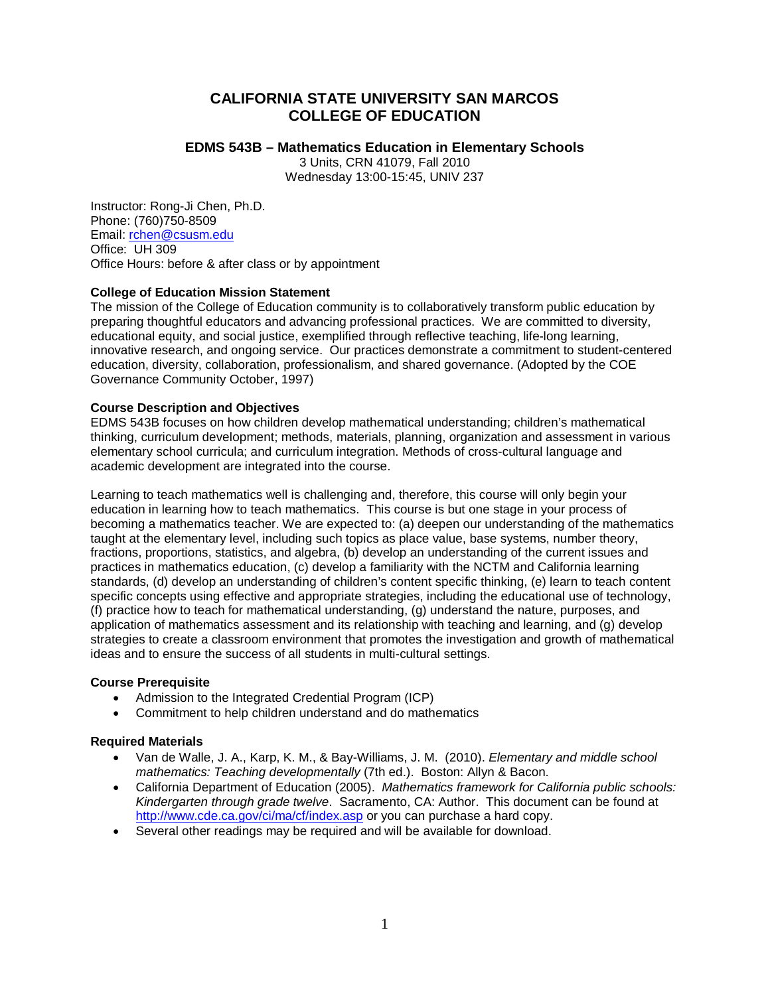## **CALIFORNIA STATE UNIVERSITY SAN MARCOS COLLEGE OF EDUCATION**

## **EDMS 543B – Mathematics Education in Elementary Schools**

3 Units, CRN 41079, Fall 2010 Wednesday 13:00-15:45, UNIV 237

Instructor: Rong-Ji Chen, Ph.D. Phone: (760)750-8509 Email: [rchen@csusm.edu](mailto:rchen@csusm.edu) Office: UH 309 Office Hours: before & after class or by appointment

## **College of Education Mission Statement**

The mission of the College of Education community is to collaboratively transform public education by preparing thoughtful educators and advancing professional practices. We are committed to diversity, educational equity, and social justice, exemplified through reflective teaching, life-long learning, innovative research, and ongoing service. Our practices demonstrate a commitment to student-centered education, diversity, collaboration, professionalism, and shared governance. (Adopted by the COE Governance Community October, 1997)

## **Course Description and Objectives**

EDMS 543B focuses on how children develop mathematical understanding; children's mathematical thinking, curriculum development; methods, materials, planning, organization and assessment in various elementary school curricula; and curriculum integration. Methods of cross-cultural language and academic development are integrated into the course.

Learning to teach mathematics well is challenging and, therefore, this course will only begin your education in learning how to teach mathematics. This course is but one stage in your process of becoming a mathematics teacher. We are expected to: (a) deepen our understanding of the mathematics taught at the elementary level, including such topics as place value, base systems, number theory, fractions, proportions, statistics, and algebra, (b) develop an understanding of the current issues and practices in mathematics education, (c) develop a familiarity with the NCTM and California learning standards, (d) develop an understanding of children's content specific thinking, (e) learn to teach content specific concepts using effective and appropriate strategies, including the educational use of technology, (f) practice how to teach for mathematical understanding, (g) understand the nature, purposes, and application of mathematics assessment and its relationship with teaching and learning, and (g) develop strategies to create a classroom environment that promotes the investigation and growth of mathematical ideas and to ensure the success of all students in multi-cultural settings.

#### **Course Prerequisite**

- Admission to the Integrated Credential Program (ICP)
- Commitment to help children understand and do mathematics

#### **Required Materials**

- Van de Walle, J. A., Karp, K. M., & Bay-Williams, J. M. (2010). *Elementary and middle school mathematics: Teaching developmentally* (7th ed.). Boston: Allyn & Bacon.
- California Department of Education (2005). *Mathematics framework for California public schools: Kindergarten through grade twelve*. Sacramento, CA: Author. This document can be found at <http://www.cde.ca.gov/ci/ma/cf/index.asp> or you can purchase a hard copy.
- Several other readings may be required and will be available for download.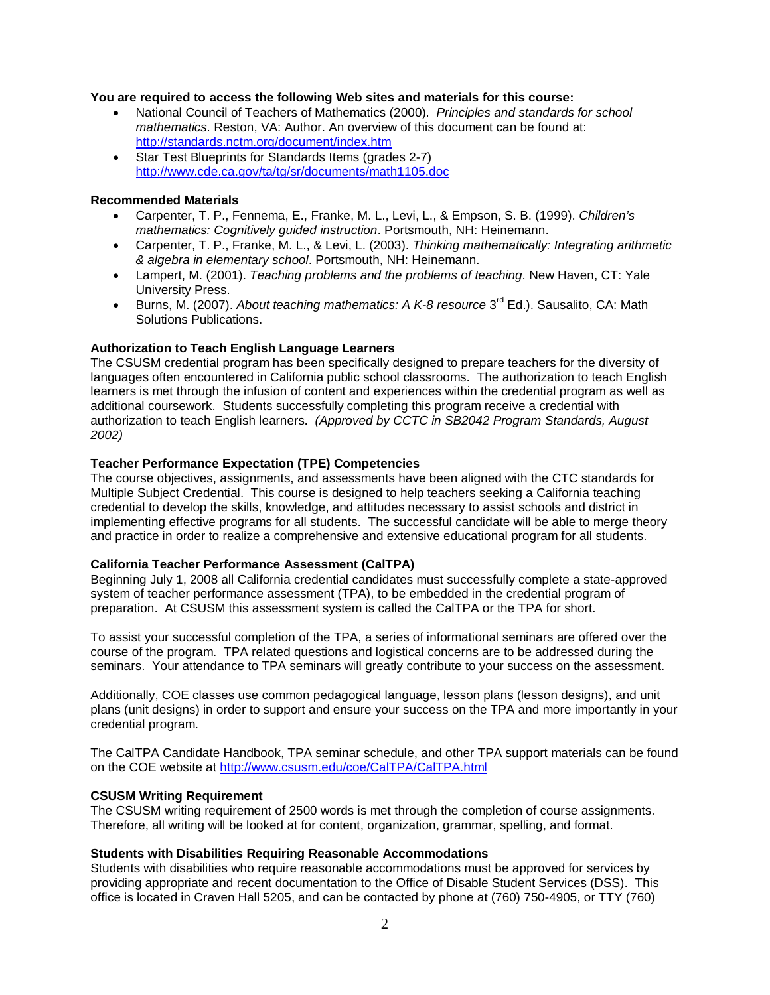#### **You are required to access the following Web sites and materials for this course:**

- National Council of Teachers of Mathematics (2000). *Principles and standards for school mathematics*. Reston, VA: Author. An overview of this document can be found at: <http://standards.nctm.org/document/index.htm>
- Star Test Blueprints for Standards Items (grades 2-7) <http://www.cde.ca.gov/ta/tg/sr/documents/math1105.doc>

### **Recommended Materials**

- Carpenter, T. P., Fennema, E., Franke, M. L., Levi, L., & Empson, S. B. (1999). *Children's mathematics: Cognitively guided instruction*. Portsmouth, NH: Heinemann.
- Carpenter, T. P., Franke, M. L., & Levi, L. (2003). *Thinking mathematically: Integrating arithmetic & algebra in elementary school*. Portsmouth, NH: Heinemann.
- Lampert, M. (2001). *Teaching problems and the problems of teaching*. New Haven, CT: Yale University Press.
- Burns, M. (2007). *About teaching mathematics: A K-8 resource* 3rd Ed.). Sausalito, CA: Math Solutions Publications.

#### **Authorization to Teach English Language Learners**

The CSUSM credential program has been specifically designed to prepare teachers for the diversity of languages often encountered in California public school classrooms. The authorization to teach English learners is met through the infusion of content and experiences within the credential program as well as additional coursework. Students successfully completing this program receive a credential with authorization to teach English learners. *(Approved by CCTC in SB2042 Program Standards, August 2002)*

#### **Teacher Performance Expectation (TPE) Competencies**

The course objectives, assignments, and assessments have been aligned with the CTC standards for Multiple Subject Credential. This course is designed to help teachers seeking a California teaching credential to develop the skills, knowledge, and attitudes necessary to assist schools and district in implementing effective programs for all students. The successful candidate will be able to merge theory and practice in order to realize a comprehensive and extensive educational program for all students.

#### **California Teacher Performance Assessment (CalTPA)**

Beginning July 1, 2008 all California credential candidates must successfully complete a state-approved system of teacher performance assessment (TPA), to be embedded in the credential program of preparation. At CSUSM this assessment system is called the CalTPA or the TPA for short.

To assist your successful completion of the TPA, a series of informational seminars are offered over the course of the program. TPA related questions and logistical concerns are to be addressed during the seminars. Your attendance to TPA seminars will greatly contribute to your success on the assessment.

Additionally, COE classes use common pedagogical language, lesson plans (lesson designs), and unit plans (unit designs) in order to support and ensure your success on the TPA and more importantly in your credential program.

The CalTPA Candidate Handbook, TPA seminar schedule, and other TPA support materials can be found on the COE website at<http://www.csusm.edu/coe/CalTPA/CalTPA.html>

#### **CSUSM Writing Requirement**

The CSUSM writing requirement of 2500 words is met through the completion of course assignments. Therefore, all writing will be looked at for content, organization, grammar, spelling, and format.

#### **Students with Disabilities Requiring Reasonable Accommodations**

Students with disabilities who require reasonable accommodations must be approved for services by providing appropriate and recent documentation to the Office of Disable Student Services (DSS). This office is located in Craven Hall 5205, and can be contacted by phone at (760) 750-4905, or TTY (760)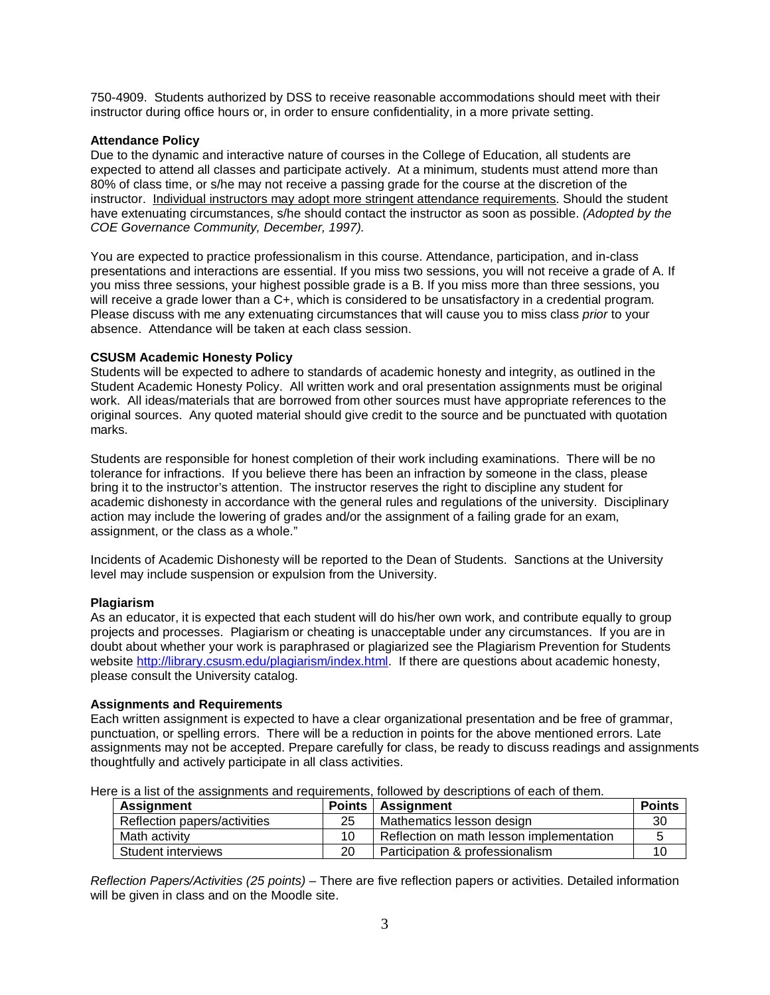750-4909. Students authorized by DSS to receive reasonable accommodations should meet with their instructor during office hours or, in order to ensure confidentiality, in a more private setting.

## **Attendance Policy**

Due to the dynamic and interactive nature of courses in the College of Education, all students are expected to attend all classes and participate actively. At a minimum, students must attend more than 80% of class time, or s/he may not receive a passing grade for the course at the discretion of the instructor. Individual instructors may adopt more stringent attendance requirements. Should the student have extenuating circumstances, s/he should contact the instructor as soon as possible. *(Adopted by the COE Governance Community, December, 1997).*

You are expected to practice professionalism in this course. Attendance, participation, and in-class presentations and interactions are essential. If you miss two sessions, you will not receive a grade of A. If you miss three sessions, your highest possible grade is a B. If you miss more than three sessions, you will receive a grade lower than a C+, which is considered to be unsatisfactory in a credential program. Please discuss with me any extenuating circumstances that will cause you to miss class *prior* to your absence. Attendance will be taken at each class session.

#### **CSUSM Academic Honesty Policy**

Students will be expected to adhere to standards of academic honesty and integrity, as outlined in the Student Academic Honesty Policy. All written work and oral presentation assignments must be original work. All ideas/materials that are borrowed from other sources must have appropriate references to the original sources. Any quoted material should give credit to the source and be punctuated with quotation marks.

Students are responsible for honest completion of their work including examinations. There will be no tolerance for infractions. If you believe there has been an infraction by someone in the class, please bring it to the instructor's attention. The instructor reserves the right to discipline any student for academic dishonesty in accordance with the general rules and regulations of the university. Disciplinary action may include the lowering of grades and/or the assignment of a failing grade for an exam, assignment, or the class as a whole."

Incidents of Academic Dishonesty will be reported to the Dean of Students. Sanctions at the University level may include suspension or expulsion from the University.

#### **Plagiarism**

As an educator, it is expected that each student will do his/her own work, and contribute equally to group projects and processes. Plagiarism or cheating is unacceptable under any circumstances. If you are in doubt about whether your work is paraphrased or plagiarized see the Plagiarism Prevention for Students website [http://library.csusm.edu/plagiarism/index.html.](http://library.csusm.edu/plagiarism/index.html) If there are questions about academic honesty, please consult the University catalog.

#### **Assignments and Requirements**

Each written assignment is expected to have a clear organizational presentation and be free of grammar, punctuation, or spelling errors. There will be a reduction in points for the above mentioned errors. Late assignments may not be accepted. Prepare carefully for class, be ready to discuss readings and assignments thoughtfully and actively participate in all class activities.

Here is a list of the assignments and requirements, followed by descriptions of each of them.

| <b>Assignment</b>            | <b>Points</b> | Assignment                               | <b>Points</b> |
|------------------------------|---------------|------------------------------------------|---------------|
| Reflection papers/activities | 25            | Mathematics lesson design                | 30            |
| Math activity                | 10            | Reflection on math lesson implementation |               |
| Student interviews           | 20            | Participation & professionalism          | 1Ο            |

*Reflection Papers/Activities (25 points)* – There are five reflection papers or activities. Detailed information will be given in class and on the Moodle site.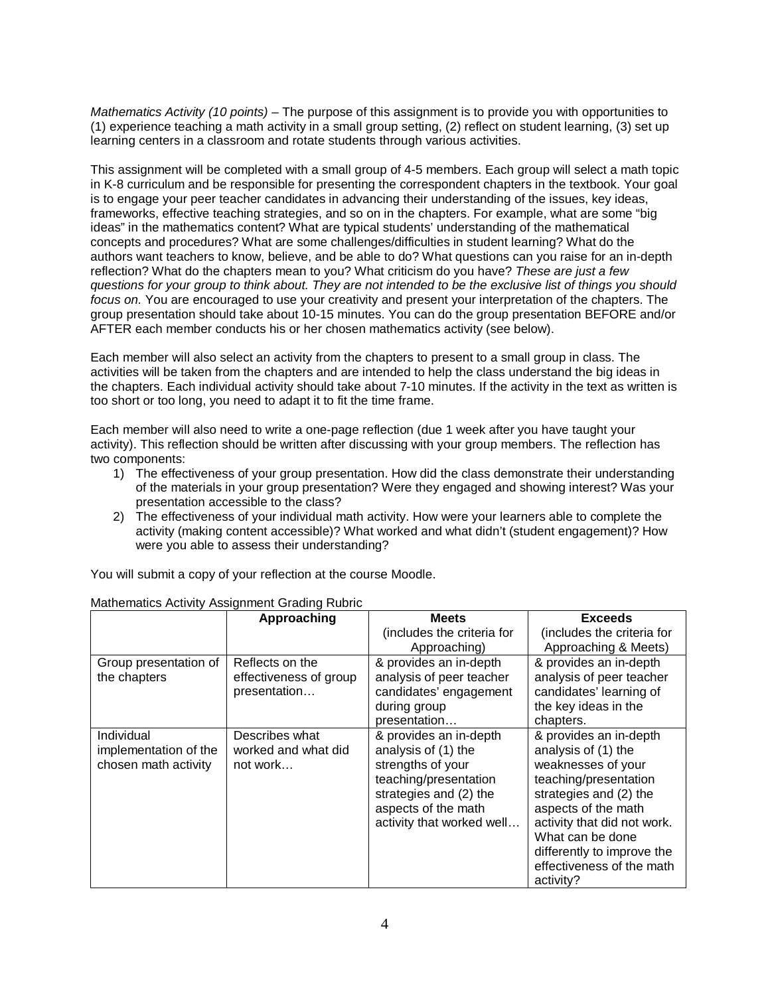*Mathematics Activity (10 points)* – The purpose of this assignment is to provide you with opportunities to (1) experience teaching a math activity in a small group setting, (2) reflect on student learning, (3) set up learning centers in a classroom and rotate students through various activities.

This assignment will be completed with a small group of 4-5 members. Each group will select a math topic in K-8 curriculum and be responsible for presenting the correspondent chapters in the textbook. Your goal is to engage your peer teacher candidates in advancing their understanding of the issues, key ideas, frameworks, effective teaching strategies, and so on in the chapters. For example, what are some "big ideas" in the mathematics content? What are typical students' understanding of the mathematical concepts and procedures? What are some challenges/difficulties in student learning? What do the authors want teachers to know, believe, and be able to do? What questions can you raise for an in-depth reflection? What do the chapters mean to you? What criticism do you have? *These are just a few questions for your group to think about. They are not intended to be the exclusive list of things you should focus on.* You are encouraged to use your creativity and present your interpretation of the chapters. The group presentation should take about 10-15 minutes. You can do the group presentation BEFORE and/or AFTER each member conducts his or her chosen mathematics activity (see below).

Each member will also select an activity from the chapters to present to a small group in class. The activities will be taken from the chapters and are intended to help the class understand the big ideas in the chapters. Each individual activity should take about 7-10 minutes. If the activity in the text as written is too short or too long, you need to adapt it to fit the time frame.

Each member will also need to write a one-page reflection (due 1 week after you have taught your activity). This reflection should be written after discussing with your group members. The reflection has two components:

- 1) The effectiveness of your group presentation. How did the class demonstrate their understanding of the materials in your group presentation? Were they engaged and showing interest? Was your presentation accessible to the class?
- 2) The effectiveness of your individual math activity. How were your learners able to complete the activity (making content accessible)? What worked and what didn't (student engagement)? How were you able to assess their understanding?

| Mathematics Activity Assignment Grading Rubric |                        |                            |                             |  |
|------------------------------------------------|------------------------|----------------------------|-----------------------------|--|
|                                                | Approaching            | <b>Meets</b>               | <b>Exceeds</b>              |  |
|                                                |                        | (includes the criteria for | (includes the criteria for  |  |
|                                                |                        | Approaching)               | Approaching & Meets)        |  |
| Group presentation of                          | Reflects on the        | & provides an in-depth     | & provides an in-depth      |  |
| the chapters                                   | effectiveness of group | analysis of peer teacher   | analysis of peer teacher    |  |
|                                                | presentation           | candidates' engagement     | candidates' learning of     |  |
|                                                |                        | during group               | the key ideas in the        |  |
|                                                |                        | presentation               | chapters.                   |  |
| Individual                                     | Describes what         | & provides an in-depth     | & provides an in-depth      |  |
| implementation of the                          | worked and what did    | analysis of (1) the        | analysis of (1) the         |  |
| chosen math activity                           | not work               | strengths of your          | weaknesses of your          |  |
|                                                |                        | teaching/presentation      | teaching/presentation       |  |
|                                                |                        | strategies and (2) the     | strategies and (2) the      |  |
|                                                |                        | aspects of the math        | aspects of the math         |  |
|                                                |                        | activity that worked well  | activity that did not work. |  |
|                                                |                        |                            | What can be done            |  |
|                                                |                        |                            | differently to improve the  |  |
|                                                |                        |                            | effectiveness of the math   |  |
|                                                |                        |                            | activity?                   |  |

You will submit a copy of your reflection at the course Moodle.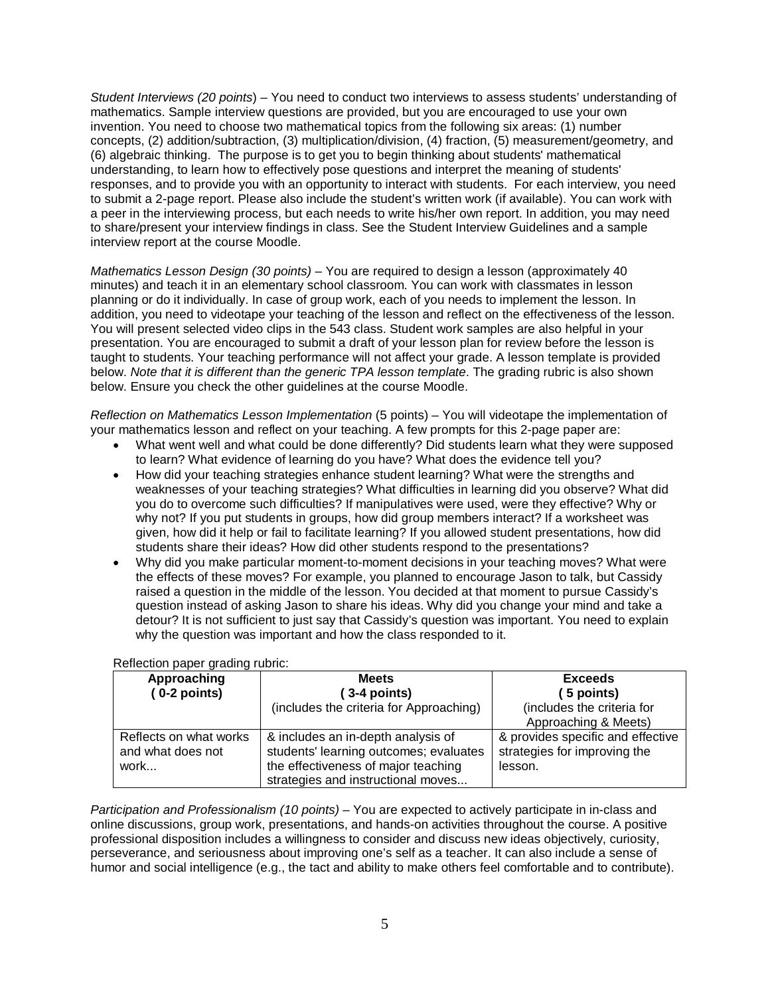*Student Interviews (20 points*) – You need to conduct two interviews to assess students' understanding of mathematics. Sample interview questions are provided, but you are encouraged to use your own invention. You need to choose two mathematical topics from the following six areas: (1) number concepts, (2) addition/subtraction, (3) multiplication/division, (4) fraction, (5) measurement/geometry, and (6) algebraic thinking. The purpose is to get you to begin thinking about students' mathematical understanding, to learn how to effectively pose questions and interpret the meaning of students' responses, and to provide you with an opportunity to interact with students. For each interview, you need to submit a 2-page report. Please also include the student's written work (if available). You can work with a peer in the interviewing process, but each needs to write his/her own report. In addition, you may need to share/present your interview findings in class. See the Student Interview Guidelines and a sample interview report at the course Moodle.

*Mathematics Lesson Design (30 points)* – You are required to design a lesson (approximately 40 minutes) and teach it in an elementary school classroom. You can work with classmates in lesson planning or do it individually. In case of group work, each of you needs to implement the lesson. In addition, you need to videotape your teaching of the lesson and reflect on the effectiveness of the lesson. You will present selected video clips in the 543 class. Student work samples are also helpful in your presentation. You are encouraged to submit a draft of your lesson plan for review before the lesson is taught to students. Your teaching performance will not affect your grade. A lesson template is provided below. *Note that it is different than the generic TPA lesson template*. The grading rubric is also shown below. Ensure you check the other guidelines at the course Moodle.

*Reflection on Mathematics Lesson Implementation* (5 points) – You will videotape the implementation of your mathematics lesson and reflect on your teaching. A few prompts for this 2-page paper are:

- What went well and what could be done differently? Did students learn what they were supposed to learn? What evidence of learning do you have? What does the evidence tell you?
- How did your teaching strategies enhance student learning? What were the strengths and weaknesses of your teaching strategies? What difficulties in learning did you observe? What did you do to overcome such difficulties? If manipulatives were used, were they effective? Why or why not? If you put students in groups, how did group members interact? If a worksheet was given, how did it help or fail to facilitate learning? If you allowed student presentations, how did students share their ideas? How did other students respond to the presentations?
- Why did you make particular moment-to-moment decisions in your teaching moves? What were the effects of these moves? For example, you planned to encourage Jason to talk, but Cassidy raised a question in the middle of the lesson. You decided at that moment to pursue Cassidy's question instead of asking Jason to share his ideas. Why did you change your mind and take a detour? It is not sufficient to just say that Cassidy's question was important. You need to explain why the question was important and how the class responded to it.

| Approaching                                         | <b>Meets</b>                                                                                                                                              | <b>Exceeds</b>                                                               |
|-----------------------------------------------------|-----------------------------------------------------------------------------------------------------------------------------------------------------------|------------------------------------------------------------------------------|
| $(0-2$ points)                                      | (3-4 points)                                                                                                                                              | 5 points)                                                                    |
|                                                     | (includes the criteria for Approaching)                                                                                                                   | (includes the criteria for                                                   |
|                                                     |                                                                                                                                                           | Approaching & Meets)                                                         |
| Reflects on what works<br>and what does not<br>work | & includes an in-depth analysis of<br>students' learning outcomes; evaluates<br>the effectiveness of major teaching<br>strategies and instructional moves | & provides specific and effective<br>strategies for improving the<br>lesson. |

#### Reflection paper grading rubric:

*Participation and Professionalism (10 points)* – You are expected to actively participate in in-class and online discussions, group work, presentations, and hands-on activities throughout the course. A positive professional disposition includes a willingness to consider and discuss new ideas objectively, curiosity, perseverance, and seriousness about improving one's self as a teacher. It can also include a sense of humor and social intelligence (e.g., the tact and ability to make others feel comfortable and to contribute).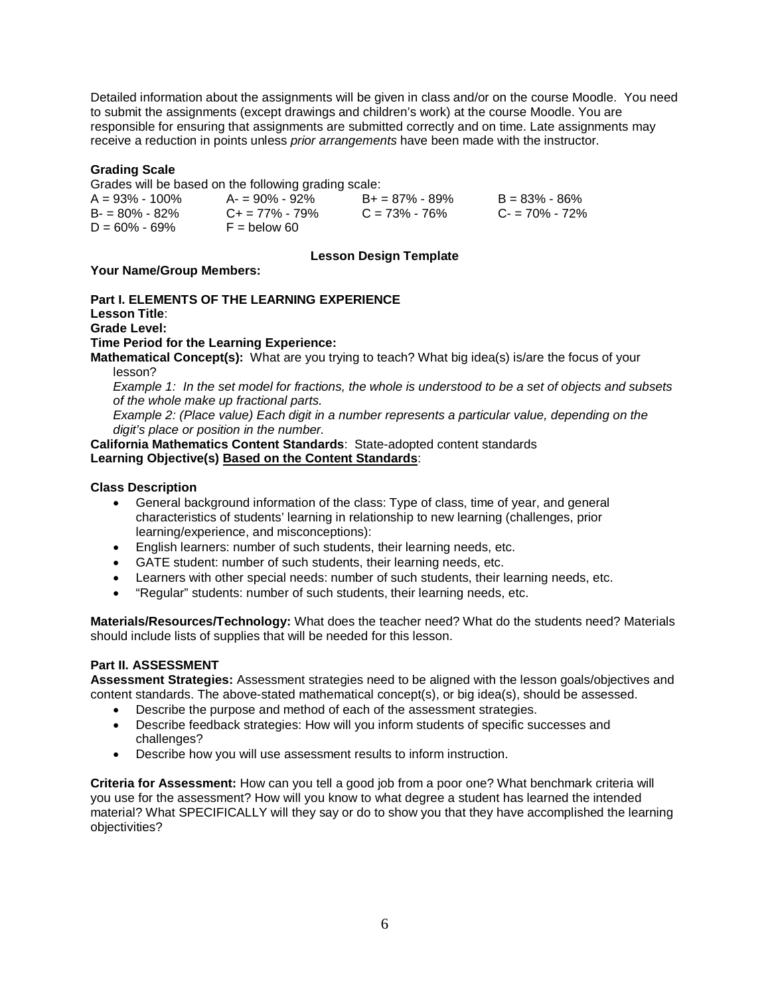Detailed information about the assignments will be given in class and/or on the course Moodle. You need to submit the assignments (except drawings and children's work) at the course Moodle. You are responsible for ensuring that assignments are submitted correctly and on time. Late assignments may receive a reduction in points unless *prior arrangements* have been made with the instructor.

## **Grading Scale**

Grades will be based on the following grading scale:

| $A = 93\% - 100\%$ | $A = 90\% - 92\%$       | $B_+ = 87\% - 89\%$ | $B = 83\% - 86\%$ |
|--------------------|-------------------------|---------------------|-------------------|
| $B = 80\% - 82\%$  | $C_{\pm} = 77\% - 79\%$ | $C = 73\% - 76\%$   | $C = 70\% - 72\%$ |
| $D = 60\% - 69\%$  | $F =$ below 60          |                     |                   |

## **Lesson Design Template**

## **Your Name/Group Members:**

**Part I. ELEMENTS OF THE LEARNING EXPERIENCE**

**Lesson Title**:

**Grade Level:**

**Time Period for the Learning Experience:**

**Mathematical Concept(s):** What are you trying to teach? What big idea(s) is/are the focus of your lesson?

*Example 1: In the set model for fractions, the whole is understood to be a set of objects and subsets of the whole make up fractional parts.*

*Example 2: (Place value) Each digit in a number represents a particular value, depending on the digit's place or position in the number.*

## **California Mathematics Content Standards**: State-adopted content standards **Learning Objective(s) Based on the Content Standards**:

## **Class Description**

- General background information of the class: Type of class, time of year, and general characteristics of students' learning in relationship to new learning (challenges, prior learning/experience, and misconceptions):
- English learners: number of such students, their learning needs, etc.
- GATE student: number of such students, their learning needs, etc.
- Learners with other special needs: number of such students, their learning needs, etc.
- "Regular" students: number of such students, their learning needs, etc.

**Materials/Resources/Technology:** What does the teacher need? What do the students need? Materials should include lists of supplies that will be needed for this lesson.

## **Part II. ASSESSMENT**

**Assessment Strategies:** Assessment strategies need to be aligned with the lesson goals/objectives and content standards. The above-stated mathematical concept(s), or big idea(s), should be assessed.

- Describe the purpose and method of each of the assessment strategies.
- Describe feedback strategies: How will you inform students of specific successes and challenges?
- Describe how you will use assessment results to inform instruction.

**Criteria for Assessment:** How can you tell a good job from a poor one? What benchmark criteria will you use for the assessment? How will you know to what degree a student has learned the intended material? What SPECIFICALLY will they say or do to show you that they have accomplished the learning objectivities?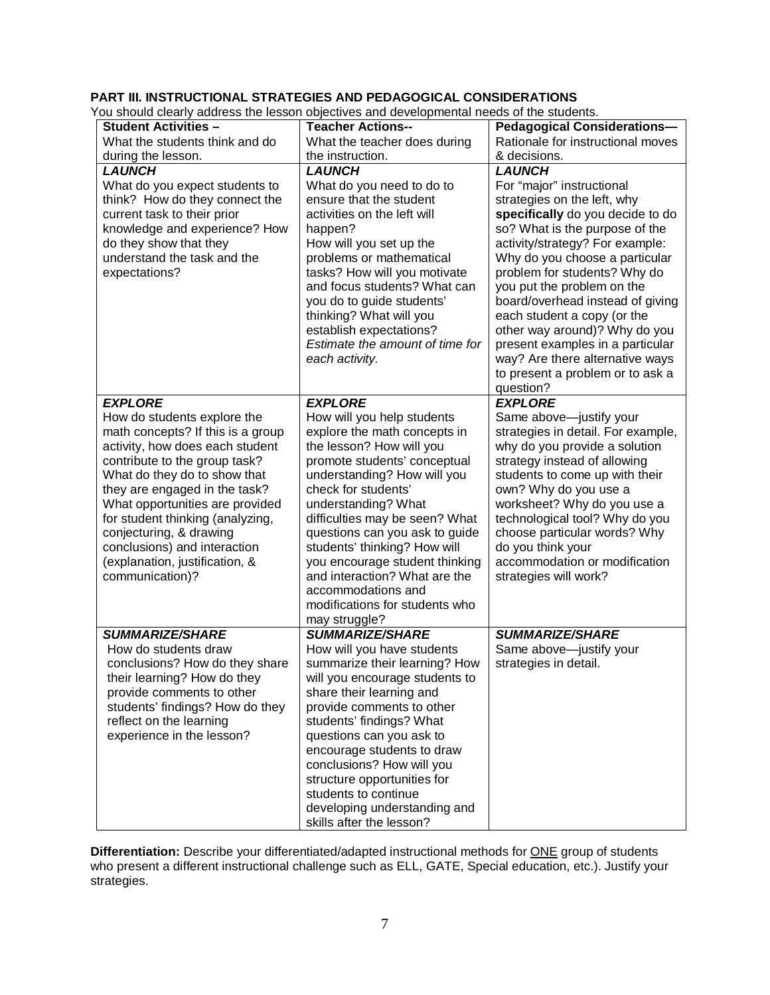## **PART III. INSTRUCTIONAL STRATEGIES AND PEDAGOGICAL CONSIDERATIONS**

You should clearly address the lesson objectives and developmental needs of the students.

|                                   | ou should clearly address the resson objectives and developmental needs of the students. |                                    |
|-----------------------------------|------------------------------------------------------------------------------------------|------------------------------------|
| <b>Student Activities -</b>       | <b>Teacher Actions--</b>                                                                 | <b>Pedagogical Considerations-</b> |
| What the students think and do    | What the teacher does during                                                             | Rationale for instructional moves  |
| during the lesson.                | the instruction.                                                                         | & decisions.                       |
| <b>LAUNCH</b>                     | <b>LAUNCH</b>                                                                            | <b>LAUNCH</b>                      |
| What do you expect students to    | What do you need to do to                                                                | For "major" instructional          |
| think? How do they connect the    | ensure that the student                                                                  | strategies on the left, why        |
| current task to their prior       | activities on the left will                                                              | specifically do you decide to do   |
| knowledge and experience? How     | happen?                                                                                  | so? What is the purpose of the     |
| do they show that they            | How will you set up the                                                                  | activity/strategy? For example:    |
| understand the task and the       | problems or mathematical                                                                 | Why do you choose a particular     |
| expectations?                     | tasks? How will you motivate                                                             | problem for students? Why do       |
|                                   | and focus students? What can                                                             | you put the problem on the         |
|                                   | you do to guide students'                                                                | board/overhead instead of giving   |
|                                   | thinking? What will you                                                                  | each student a copy (or the        |
|                                   | establish expectations?                                                                  | other way around)? Why do you      |
|                                   | Estimate the amount of time for                                                          | present examples in a particular   |
|                                   | each activity.                                                                           | way? Are there alternative ways    |
|                                   |                                                                                          | to present a problem or to ask a   |
|                                   |                                                                                          | question?                          |
| <b>EXPLORE</b>                    | <b>EXPLORE</b>                                                                           | <b>EXPLORE</b>                     |
| How do students explore the       | How will you help students                                                               | Same above-justify your            |
| math concepts? If this is a group | explore the math concepts in                                                             | strategies in detail. For example, |
| activity, how does each student   | the lesson? How will you                                                                 | why do you provide a solution      |
| contribute to the group task?     | promote students' conceptual                                                             | strategy instead of allowing       |
| What do they do to show that      | understanding? How will you                                                              | students to come up with their     |
| they are engaged in the task?     | check for students'                                                                      | own? Why do you use a              |
| What opportunities are provided   | understanding? What                                                                      | worksheet? Why do you use a        |
| for student thinking (analyzing,  | difficulties may be seen? What                                                           | technological tool? Why do you     |
| conjecturing, & drawing           | questions can you ask to guide                                                           | choose particular words? Why       |
| conclusions) and interaction      | students' thinking? How will                                                             | do you think your                  |
| (explanation, justification, &    | you encourage student thinking                                                           | accommodation or modification      |
| communication)?                   | and interaction? What are the                                                            | strategies will work?              |
|                                   | accommodations and                                                                       |                                    |
|                                   | modifications for students who                                                           |                                    |
|                                   | may struggle?                                                                            |                                    |
| <b>SUMMARIZE/SHARE</b>            | <b>SUMMARIZE/SHARE</b>                                                                   | <b>SUMMARIZE/SHARE</b>             |
| How do students draw              | How will you have students                                                               | Same above-justify your            |
| conclusions? How do they share    | summarize their learning? How                                                            | strategies in detail.              |
| their learning? How do they       | will you encourage students to                                                           |                                    |
| provide comments to other         | share their learning and                                                                 |                                    |
| students' findings? How do they   | provide comments to other                                                                |                                    |
| reflect on the learning           | students' findings? What                                                                 |                                    |
| experience in the lesson?         | questions can you ask to                                                                 |                                    |
|                                   | encourage students to draw                                                               |                                    |
|                                   | conclusions? How will you                                                                |                                    |
|                                   | structure opportunities for                                                              |                                    |
|                                   | students to continue                                                                     |                                    |
|                                   | developing understanding and                                                             |                                    |
|                                   | skills after the lesson?                                                                 |                                    |

**Differentiation:** Describe your differentiated/adapted instructional methods for ONE group of students who present a different instructional challenge such as ELL, GATE, Special education, etc.). Justify your strategies.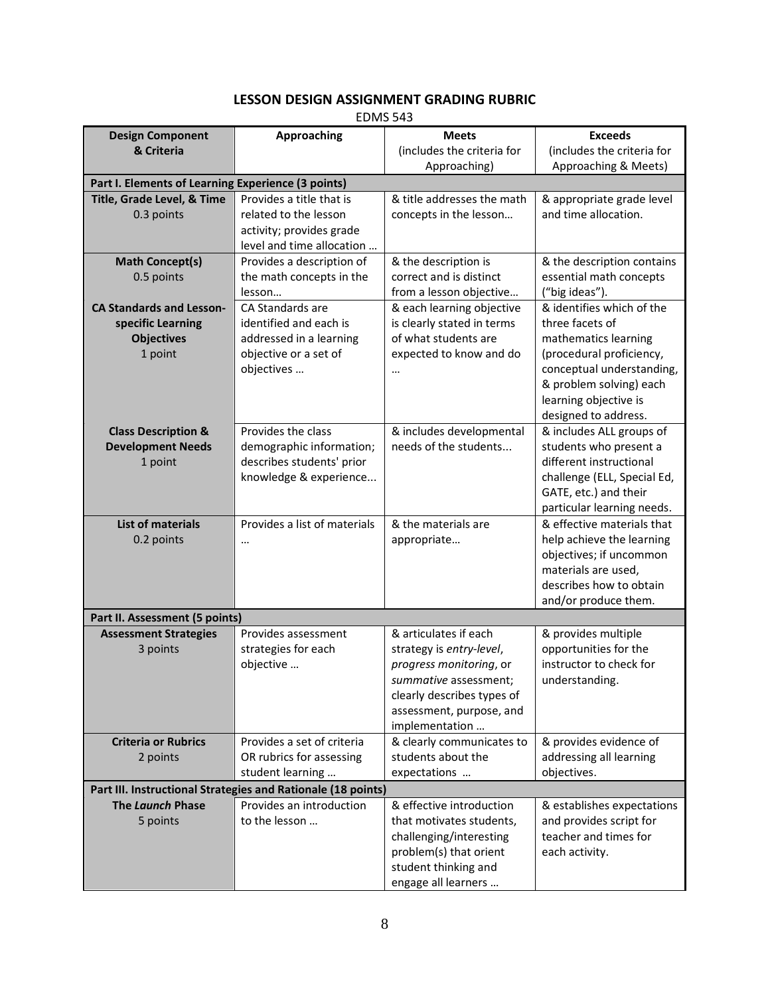# **LESSON DESIGN ASSIGNMENT GRADING RUBRIC**

EDMS 543

| <b>Design Component</b>         | <b>Approaching</b>                                           | <b>Meets</b>                                        | <b>Exceeds</b>                                |  |  |
|---------------------------------|--------------------------------------------------------------|-----------------------------------------------------|-----------------------------------------------|--|--|
| & Criteria                      |                                                              | (includes the criteria for                          | (includes the criteria for                    |  |  |
|                                 |                                                              | Approaching)                                        | Approaching & Meets)                          |  |  |
|                                 | Part I. Elements of Learning Experience (3 points)           |                                                     |                                               |  |  |
| Title, Grade Level, & Time      | Provides a title that is                                     | & title addresses the math                          | & appropriate grade level                     |  |  |
| 0.3 points                      | related to the lesson                                        | concepts in the lesson                              | and time allocation.                          |  |  |
|                                 | activity; provides grade                                     |                                                     |                                               |  |  |
|                                 | level and time allocation                                    |                                                     |                                               |  |  |
| <b>Math Concept(s)</b>          | Provides a description of                                    | & the description is                                | & the description contains                    |  |  |
| 0.5 points                      | the math concepts in the                                     | correct and is distinct                             | essential math concepts                       |  |  |
|                                 | lesson                                                       | from a lesson objective                             | ("big ideas").                                |  |  |
| <b>CA Standards and Lesson-</b> | CA Standards are                                             | & each learning objective                           | & identifies which of the                     |  |  |
| specific Learning               | identified and each is                                       | is clearly stated in terms                          | three facets of                               |  |  |
| <b>Objectives</b>               | addressed in a learning                                      | of what students are                                | mathematics learning                          |  |  |
| 1 point                         | objective or a set of                                        | expected to know and do                             | (procedural proficiency,                      |  |  |
|                                 | objectives                                                   |                                                     | conceptual understanding,                     |  |  |
|                                 |                                                              |                                                     | & problem solving) each                       |  |  |
|                                 |                                                              |                                                     | learning objective is<br>designed to address. |  |  |
| <b>Class Description &amp;</b>  | Provides the class                                           | & includes developmental                            | & includes ALL groups of                      |  |  |
| <b>Development Needs</b>        | demographic information;                                     | needs of the students                               | students who present a                        |  |  |
| 1 point                         | describes students' prior                                    |                                                     | different instructional                       |  |  |
|                                 | knowledge & experience                                       |                                                     | challenge (ELL, Special Ed,                   |  |  |
|                                 |                                                              |                                                     | GATE, etc.) and their                         |  |  |
|                                 |                                                              |                                                     | particular learning needs.                    |  |  |
| <b>List of materials</b>        | Provides a list of materials                                 | & the materials are                                 | & effective materials that                    |  |  |
| 0.2 points                      | $\cdots$                                                     | appropriate                                         | help achieve the learning                     |  |  |
|                                 |                                                              |                                                     | objectives; if uncommon                       |  |  |
|                                 |                                                              |                                                     | materials are used,                           |  |  |
|                                 |                                                              |                                                     | describes how to obtain                       |  |  |
|                                 |                                                              |                                                     | and/or produce them.                          |  |  |
| Part II. Assessment (5 points)  |                                                              |                                                     |                                               |  |  |
| <b>Assessment Strategies</b>    | Provides assessment                                          | & articulates if each                               | & provides multiple                           |  |  |
| 3 points                        | strategies for each                                          | strategy is entry-level,                            | opportunities for the                         |  |  |
|                                 | objective                                                    | progress monitoring, or                             | instructor to check for                       |  |  |
|                                 |                                                              | summative assessment;<br>clearly describes types of | understanding.                                |  |  |
|                                 |                                                              | assessment, purpose, and                            |                                               |  |  |
|                                 |                                                              | implementation                                      |                                               |  |  |
| <b>Criteria or Rubrics</b>      | Provides a set of criteria                                   | & clearly communicates to                           | & provides evidence of                        |  |  |
| 2 points                        | OR rubrics for assessing                                     | students about the                                  | addressing all learning                       |  |  |
|                                 | student learning                                             | expectations                                        | objectives.                                   |  |  |
|                                 | Part III. Instructional Strategies and Rationale (18 points) |                                                     |                                               |  |  |
| The Launch Phase                | Provides an introduction                                     | & effective introduction                            | & establishes expectations                    |  |  |
| 5 points                        | to the lesson                                                | that motivates students,                            | and provides script for                       |  |  |
|                                 |                                                              | challenging/interesting                             | teacher and times for                         |  |  |
|                                 |                                                              | problem(s) that orient                              | each activity.                                |  |  |
|                                 |                                                              | student thinking and                                |                                               |  |  |
|                                 |                                                              | engage all learners                                 |                                               |  |  |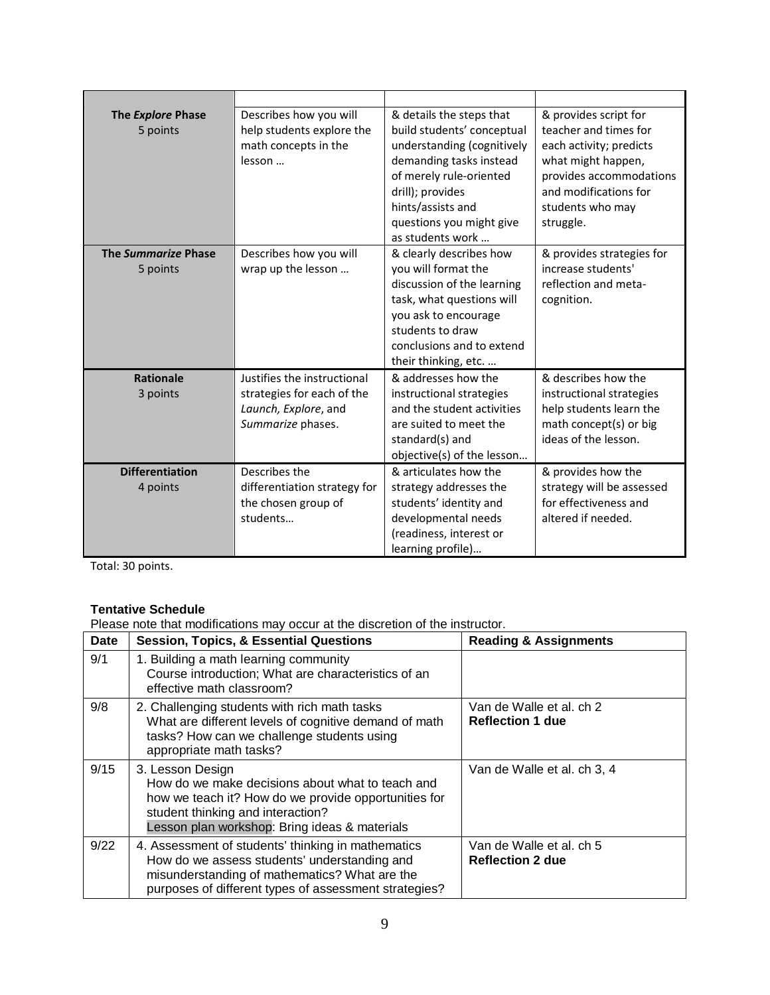| The Explore Phase<br>5 points      | Describes how you will<br>help students explore the<br>math concepts in the<br>lesson                  | & details the steps that<br>build students' conceptual<br>understanding (cognitively<br>demanding tasks instead<br>of merely rule-oriented<br>drill); provides<br>hints/assists and<br>questions you might give<br>as students work                                                                 | & provides script for<br>teacher and times for<br>each activity; predicts<br>what might happen,<br>provides accommodations<br>and modifications for<br>students who may<br>struggle. |
|------------------------------------|--------------------------------------------------------------------------------------------------------|-----------------------------------------------------------------------------------------------------------------------------------------------------------------------------------------------------------------------------------------------------------------------------------------------------|--------------------------------------------------------------------------------------------------------------------------------------------------------------------------------------|
| The Summarize Phase<br>5 points    | Describes how you will<br>wrap up the lesson                                                           | & clearly describes how<br>& provides strategies for<br>increase students'<br>you will format the<br>discussion of the learning<br>reflection and meta-<br>task, what questions will<br>cognition.<br>you ask to encourage<br>students to draw<br>conclusions and to extend<br>their thinking, etc. |                                                                                                                                                                                      |
| <b>Rationale</b><br>3 points       | Justifies the instructional<br>strategies for each of the<br>Launch, Explore, and<br>Summarize phases. | & addresses how the<br>instructional strategies<br>and the student activities<br>are suited to meet the<br>standard(s) and<br>objective(s) of the lesson                                                                                                                                            | & describes how the<br>instructional strategies<br>help students learn the<br>math concept(s) or big<br>ideas of the lesson.                                                         |
| <b>Differentiation</b><br>4 points | Describes the<br>differentiation strategy for<br>the chosen group of<br>students                       | & articulates how the<br>strategy addresses the<br>students' identity and<br>developmental needs<br>(readiness, interest or<br>learning profile)                                                                                                                                                    | & provides how the<br>strategy will be assessed<br>for effectiveness and<br>altered if needed.                                                                                       |

Total: 30 points.

## **Tentative Schedule**

Please note that modifications may occur at the discretion of the instructor.

| <b>Date</b> | <b>Session, Topics, &amp; Essential Questions</b>                                                                                                                                                                  | <b>Reading &amp; Assignments</b>                    |
|-------------|--------------------------------------------------------------------------------------------------------------------------------------------------------------------------------------------------------------------|-----------------------------------------------------|
| 9/1         | 1. Building a math learning community<br>Course introduction; What are characteristics of an<br>effective math classroom?                                                                                          |                                                     |
| 9/8         | 2. Challenging students with rich math tasks<br>What are different levels of cognitive demand of math<br>tasks? How can we challenge students using<br>appropriate math tasks?                                     | Van de Walle et al. ch 2<br><b>Reflection 1 due</b> |
| 9/15        | 3. Lesson Design<br>How do we make decisions about what to teach and<br>how we teach it? How do we provide opportunities for<br>student thinking and interaction?<br>Lesson plan workshop: Bring ideas & materials | Van de Walle et al. ch 3, 4                         |
| 9/22        | 4. Assessment of students' thinking in mathematics<br>How do we assess students' understanding and<br>misunderstanding of mathematics? What are the<br>purposes of different types of assessment strategies?       | Van de Walle et al. ch 5<br><b>Reflection 2 due</b> |